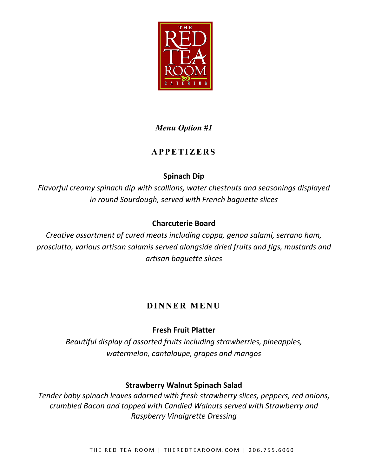

# *Menu Option #1*

# **APPETIZERS**

# **Spinach Dip**

*Flavorful creamy spinach dip with scallions, water chestnuts and seasonings displayed in round Sourdough, served with French baguette slices*

# **Charcuterie Board**

*Creative assortment of cured meats including coppa, genoa salami, serrano ham, prosciutto, various artisan salamis served alongside dried fruits and figs, mustards and artisan baguette slices*

# **DINNER MENU**

# **Fresh Fruit Platter**

*Beautiful display of assorted fruits including strawberries, pineapples, watermelon, cantaloupe, grapes and mangos*

## **Strawberry Walnut Spinach Salad**

*Tender baby spinach leaves adorned with fresh strawberry slices, peppers, red onions, crumbled Bacon and topped with Candied Walnuts served with Strawberry and Raspberry Vinaigrette Dressing*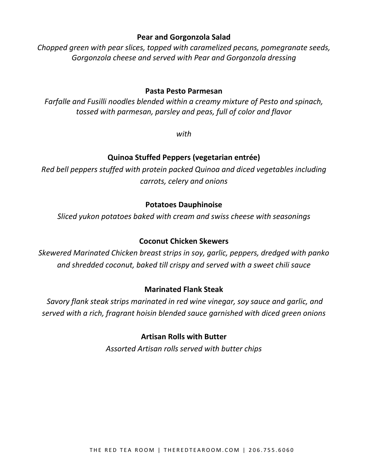#### **Pear and Gorgonzola Salad**

*Chopped green with pear slices, topped with caramelized pecans, pomegranate seeds, Gorgonzola cheese and served with Pear and Gorgonzola dressing*

#### **Pasta Pesto Parmesan**

*Farfalle and Fusilli noodles blended within a creamy mixture of Pesto and spinach, tossed with parmesan, parsley and peas, full of color and flavor*

*with*

## **Quinoa Stuffed Peppers (vegetarian entrée)**

*Red bell peppers stuffed with protein packed Quinoa and diced vegetables including carrots, celery and onions*

#### **Potatoes Dauphinoise**

*Sliced yukon potatoes baked with cream and swiss cheese with seasonings*

#### **Coconut Chicken Skewers**

*Skewered Marinated Chicken breast strips in soy, garlic, peppers, dredged with panko and shredded coconut, baked till crispy and served with a sweet chili sauce*

## **Marinated Flank Steak**

*Savory flank steak strips marinated in red wine vinegar, soy sauce and garlic, and served with a rich, fragrant hoisin blended sauce garnished with diced green onions*

## **Artisan Rolls with Butter**

*Assorted Artisan rolls served with butter chips*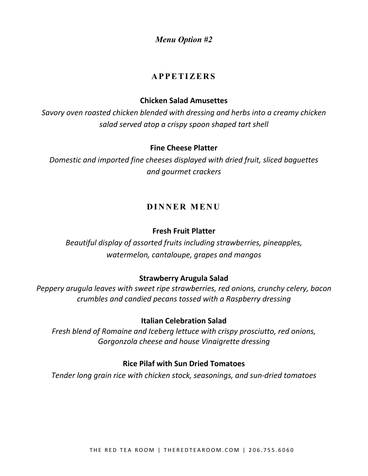*Menu Option #2*

## **APPETIZERS**

#### **Chicken Salad Amusettes**

*Savory oven roasted chicken blended with dressing and herbs into a creamy chicken salad served atop a crispy spoon shaped tart shell*

#### **Fine Cheese Platter**

*Domestic and imported fine cheeses displayed with dried fruit, sliced baguettes and gourmet crackers*

## **DINNER MENU**

#### **Fresh Fruit Platter**

*Beautiful display of assorted fruits including strawberries, pineapples, watermelon, cantaloupe, grapes and mangos*

#### **Strawberry Arugula Salad**

*Peppery arugula leaves with sweet ripe strawberries, red onions, crunchy celery, bacon crumbles and candied pecans tossed with a Raspberry dressing*

#### **Italian Celebration Salad**

*Fresh blend of Romaine and Iceberg lettuce with crispy prosciutto, red onions, Gorgonzola cheese and house Vinaigrette dressing*

#### **Rice Pilaf with Sun Dried Tomatoes**

*Tender long grain rice with chicken stock, seasonings, and sun-dried tomatoes*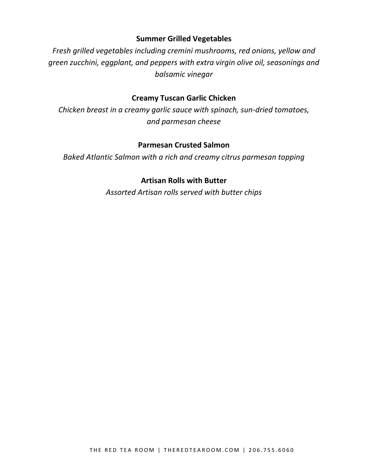#### **Summer Grilled Vegetables**

*Fresh grilled vegetables including cremini mushrooms, red onions, yellow and green zucchini, eggplant, and peppers with extra virgin olive oil, seasonings and balsamic vinegar*

#### **Creamy Tuscan Garlic Chicken**

*Chicken breast in a creamy garlic sauce with spinach, sun-dried tomatoes, and parmesan cheese*

#### **Parmesan Crusted Salmon**

*Baked Atlantic Salmon with a rich and creamy citrus parmesan topping*

#### **Artisan Rolls with Butter**

*Assorted Artisan rolls served with butter chips*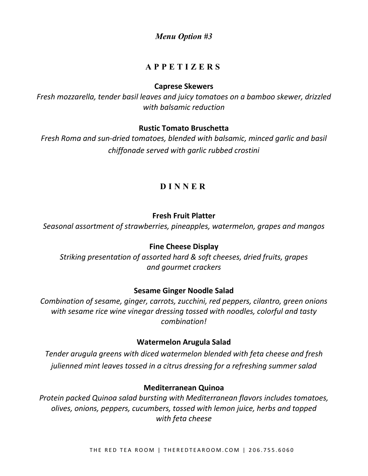*Menu Option #3*

# **APPETIZERS**

#### **Caprese Skewers**

*Fresh mozzarella, tender basil leaves and juicy tomatoes on a bamboo skewer, drizzled with balsamic reduction*

#### **Rustic Tomato Bruschetta**

*Fresh Roma and sun-dried tomatoes, blended with balsamic, minced garlic and basil chiffonade served with garlic rubbed crostini*

# **D INNER**

## **Fresh Fruit Platter**

*Seasonal assortment of strawberries, pineapples, watermelon, grapes and mangos* 

## **Fine Cheese Display**

*Striking presentation of assorted hard & soft cheeses, dried fruits, grapes and gourmet crackers*

## **Sesame Ginger Noodle Salad**

*Combination of sesame, ginger, carrots, zucchini, red peppers, cilantro, green onions with sesame rice wine vinegar dressing tossed with noodles, colorful and tasty combination!*

## **Watermelon Arugula Salad**

*Tender arugula greens with diced watermelon blended with feta cheese and fresh julienned mint leaves tossed in a citrus dressing for a refreshing summer salad*

#### **Mediterranean Quinoa**

*Protein packed Quinoa salad bursting with Mediterranean flavors includes tomatoes, olives, onions, peppers, cucumbers, tossed with lemon juice, herbs and topped with feta cheese*